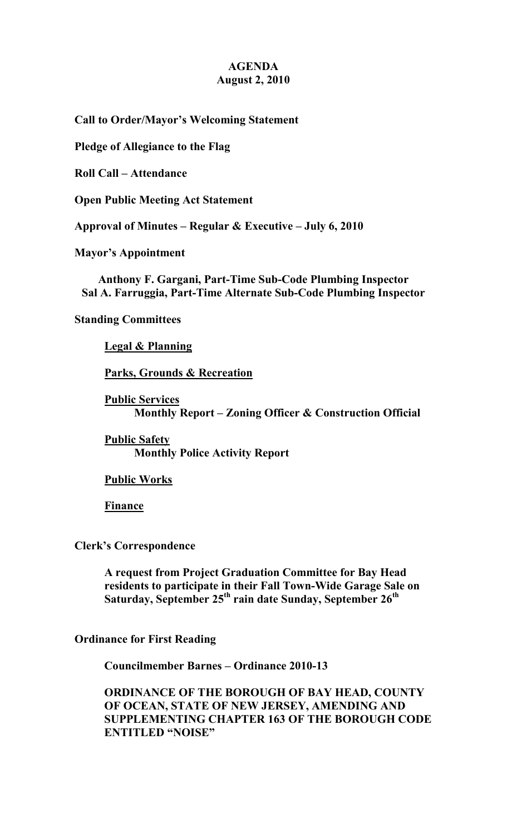## **AGENDA August 2, 2010**

**Call to Order/Mayor's Welcoming Statement** 

**Pledge of Allegiance to the Flag** 

**Roll Call – Attendance** 

**Open Public Meeting Act Statement** 

**Approval of Minutes – Regular & Executive – July 6, 2010** 

**Mayor's Appointment** 

**Anthony F. Gargani, Part-Time Sub-Code Plumbing Inspector Sal A. Farruggia, Part-Time Alternate Sub-Code Plumbing Inspector** 

**Standing Committees** 

 **Legal & Planning**

 **Parks, Grounds & Recreation**

 **Public Services Monthly Report – Zoning Officer & Construction Official** 

 **Public Safety Monthly Police Activity Report** 

 **Public Works**

 **Finance**

**Clerk's Correspondence** 

 **A request from Project Graduation Committee for Bay Head residents to participate in their Fall Town-Wide Garage Sale on Saturday, September 25th rain date Sunday, September 26th** 

**Ordinance for First Reading** 

 **Councilmember Barnes – Ordinance 2010-13** 

 **ORDINANCE OF THE BOROUGH OF BAY HEAD, COUNTY OF OCEAN, STATE OF NEW JERSEY, AMENDING AND SUPPLEMENTING CHAPTER 163 OF THE BOROUGH CODE ENTITLED "NOISE"**